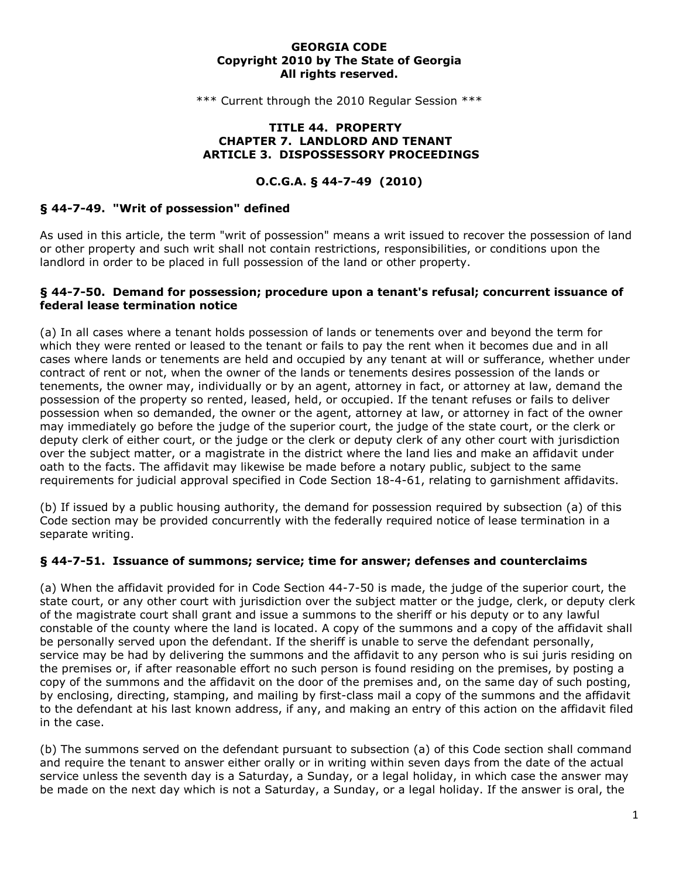### **GEORGIA CODE Copyright 2010 by The State of Georgia All rights reserved.**

\*\*\* Current through the 2010 Regular Session \*\*\*

#### **TITLE 44. PROPERTY CHAPTER 7. LANDLORD AND TENANT ARTICLE 3. DISPOSSESSORY PROCEEDINGS**

## **O.C.G.A. § 44-7-49 (2010)**

### **§ 44-7-49. "Writ of possession" defined**

As used in this article, the term "writ of possession" means a writ issued to recover the possession of land or other property and such writ shall not contain restrictions, responsibilities, or conditions upon the landlord in order to be placed in full possession of the land or other property.

### **§ 44-7-50. Demand for possession; procedure upon a tenant's refusal; concurrent issuance of federal lease termination notice**

(a) In all cases where a tenant holds possession of lands or tenements over and beyond the term for which they were rented or leased to the tenant or fails to pay the rent when it becomes due and in all cases where lands or tenements are held and occupied by any tenant at will or sufferance, whether under contract of rent or not, when the owner of the lands or tenements desires possession of the lands or tenements, the owner may, individually or by an agent, attorney in fact, or attorney at law, demand the possession of the property so rented, leased, held, or occupied. If the tenant refuses or fails to deliver possession when so demanded, the owner or the agent, attorney at law, or attorney in fact of the owner may immediately go before the judge of the superior court, the judge of the state court, or the clerk or deputy clerk of either court, or the judge or the clerk or deputy clerk of any other court with jurisdiction over the subject matter, or a magistrate in the district where the land lies and make an affidavit under oath to the facts. The affidavit may likewise be made before a notary public, subject to the same requirements for judicial approval specified in Code Section 18-4-61, relating to garnishment affidavits.

(b) If issued by a public housing authority, the demand for possession required by subsection (a) of this Code section may be provided concurrently with the federally required notice of lease termination in a separate writing.

## **§ 44-7-51. Issuance of summons; service; time for answer; defenses and counterclaims**

(a) When the affidavit provided for in Code Section 44-7-50 is made, the judge of the superior court, the state court, or any other court with jurisdiction over the subject matter or the judge, clerk, or deputy clerk of the magistrate court shall grant and issue a summons to the sheriff or his deputy or to any lawful constable of the county where the land is located. A copy of the summons and a copy of the affidavit shall be personally served upon the defendant. If the sheriff is unable to serve the defendant personally, service may be had by delivering the summons and the affidavit to any person who is sui juris residing on the premises or, if after reasonable effort no such person is found residing on the premises, by posting a copy of the summons and the affidavit on the door of the premises and, on the same day of such posting, by enclosing, directing, stamping, and mailing by first-class mail a copy of the summons and the affidavit to the defendant at his last known address, if any, and making an entry of this action on the affidavit filed in the case.

(b) The summons served on the defendant pursuant to subsection (a) of this Code section shall command and require the tenant to answer either orally or in writing within seven days from the date of the actual service unless the seventh day is a Saturday, a Sunday, or a legal holiday, in which case the answer may be made on the next day which is not a Saturday, a Sunday, or a legal holiday. If the answer is oral, the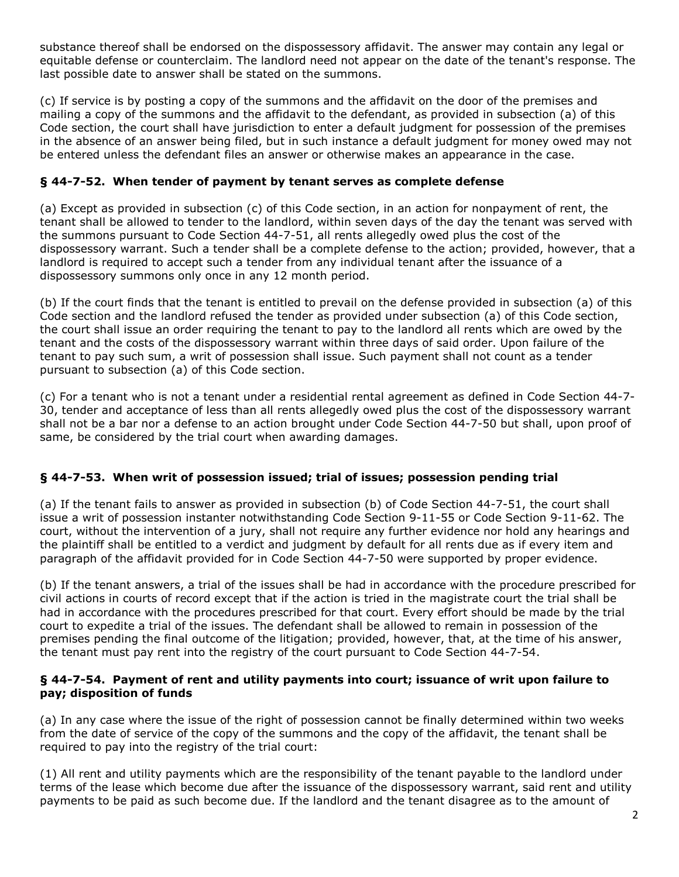substance thereof shall be endorsed on the dispossessory affidavit. The answer may contain any legal or equitable defense or counterclaim. The landlord need not appear on the date of the tenant's response. The last possible date to answer shall be stated on the summons.

(c) If service is by posting a copy of the summons and the affidavit on the door of the premises and mailing a copy of the summons and the affidavit to the defendant, as provided in subsection (a) of this Code section, the court shall have jurisdiction to enter a default judgment for possession of the premises in the absence of an answer being filed, but in such instance a default judgment for money owed may not be entered unless the defendant files an answer or otherwise makes an appearance in the case.

# **§ 44-7-52. When tender of payment by tenant serves as complete defense**

(a) Except as provided in subsection (c) of this Code section, in an action for nonpayment of rent, the tenant shall be allowed to tender to the landlord, within seven days of the day the tenant was served with the summons pursuant to Code Section 44-7-51, all rents allegedly owed plus the cost of the dispossessory warrant. Such a tender shall be a complete defense to the action; provided, however, that a landlord is required to accept such a tender from any individual tenant after the issuance of a dispossessory summons only once in any 12 month period.

(b) If the court finds that the tenant is entitled to prevail on the defense provided in subsection (a) of this Code section and the landlord refused the tender as provided under subsection (a) of this Code section, the court shall issue an order requiring the tenant to pay to the landlord all rents which are owed by the tenant and the costs of the dispossessory warrant within three days of said order. Upon failure of the tenant to pay such sum, a writ of possession shall issue. Such payment shall not count as a tender pursuant to subsection (a) of this Code section.

(c) For a tenant who is not a tenant under a residential rental agreement as defined in Code Section 44-7- 30, tender and acceptance of less than all rents allegedly owed plus the cost of the dispossessory warrant shall not be a bar nor a defense to an action brought under Code Section 44-7-50 but shall, upon proof of same, be considered by the trial court when awarding damages.

# **§ 44-7-53. When writ of possession issued; trial of issues; possession pending trial**

(a) If the tenant fails to answer as provided in subsection (b) of Code Section 44-7-51, the court shall issue a writ of possession instanter notwithstanding Code Section 9-11-55 or Code Section 9-11-62. The court, without the intervention of a jury, shall not require any further evidence nor hold any hearings and the plaintiff shall be entitled to a verdict and judgment by default for all rents due as if every item and paragraph of the affidavit provided for in Code Section 44-7-50 were supported by proper evidence.

(b) If the tenant answers, a trial of the issues shall be had in accordance with the procedure prescribed for civil actions in courts of record except that if the action is tried in the magistrate court the trial shall be had in accordance with the procedures prescribed for that court. Every effort should be made by the trial court to expedite a trial of the issues. The defendant shall be allowed to remain in possession of the premises pending the final outcome of the litigation; provided, however, that, at the time of his answer, the tenant must pay rent into the registry of the court pursuant to Code Section 44-7-54.

## **§ 44-7-54. Payment of rent and utility payments into court; issuance of writ upon failure to pay; disposition of funds**

(a) In any case where the issue of the right of possession cannot be finally determined within two weeks from the date of service of the copy of the summons and the copy of the affidavit, the tenant shall be required to pay into the registry of the trial court:

(1) All rent and utility payments which are the responsibility of the tenant payable to the landlord under terms of the lease which become due after the issuance of the dispossessory warrant, said rent and utility payments to be paid as such become due. If the landlord and the tenant disagree as to the amount of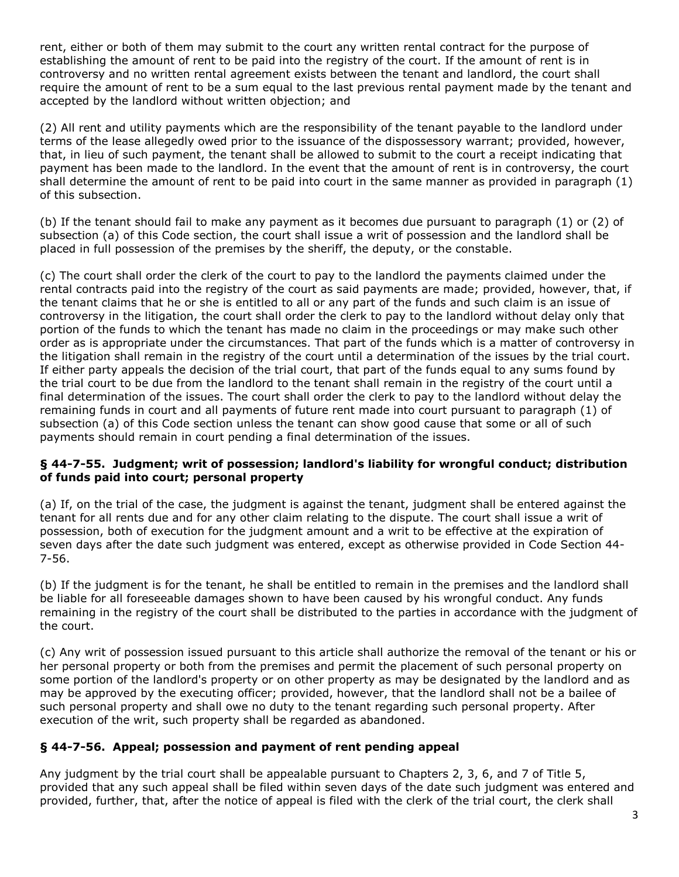rent, either or both of them may submit to the court any written rental contract for the purpose of establishing the amount of rent to be paid into the registry of the court. If the amount of rent is in controversy and no written rental agreement exists between the tenant and landlord, the court shall require the amount of rent to be a sum equal to the last previous rental payment made by the tenant and accepted by the landlord without written objection; and

(2) All rent and utility payments which are the responsibility of the tenant payable to the landlord under terms of the lease allegedly owed prior to the issuance of the dispossessory warrant; provided, however, that, in lieu of such payment, the tenant shall be allowed to submit to the court a receipt indicating that payment has been made to the landlord. In the event that the amount of rent is in controversy, the court shall determine the amount of rent to be paid into court in the same manner as provided in paragraph (1) of this subsection.

(b) If the tenant should fail to make any payment as it becomes due pursuant to paragraph (1) or (2) of subsection (a) of this Code section, the court shall issue a writ of possession and the landlord shall be placed in full possession of the premises by the sheriff, the deputy, or the constable.

(c) The court shall order the clerk of the court to pay to the landlord the payments claimed under the rental contracts paid into the registry of the court as said payments are made; provided, however, that, if the tenant claims that he or she is entitled to all or any part of the funds and such claim is an issue of controversy in the litigation, the court shall order the clerk to pay to the landlord without delay only that portion of the funds to which the tenant has made no claim in the proceedings or may make such other order as is appropriate under the circumstances. That part of the funds which is a matter of controversy in the litigation shall remain in the registry of the court until a determination of the issues by the trial court. If either party appeals the decision of the trial court, that part of the funds equal to any sums found by the trial court to be due from the landlord to the tenant shall remain in the registry of the court until a final determination of the issues. The court shall order the clerk to pay to the landlord without delay the remaining funds in court and all payments of future rent made into court pursuant to paragraph (1) of subsection (a) of this Code section unless the tenant can show good cause that some or all of such payments should remain in court pending a final determination of the issues.

## **§ 44-7-55. Judgment; writ of possession; landlord's liability for wrongful conduct; distribution of funds paid into court; personal property**

(a) If, on the trial of the case, the judgment is against the tenant, judgment shall be entered against the tenant for all rents due and for any other claim relating to the dispute. The court shall issue a writ of possession, both of execution for the judgment amount and a writ to be effective at the expiration of seven days after the date such judgment was entered, except as otherwise provided in Code Section 44- 7-56.

(b) If the judgment is for the tenant, he shall be entitled to remain in the premises and the landlord shall be liable for all foreseeable damages shown to have been caused by his wrongful conduct. Any funds remaining in the registry of the court shall be distributed to the parties in accordance with the judgment of the court.

(c) Any writ of possession issued pursuant to this article shall authorize the removal of the tenant or his or her personal property or both from the premises and permit the placement of such personal property on some portion of the landlord's property or on other property as may be designated by the landlord and as may be approved by the executing officer; provided, however, that the landlord shall not be a bailee of such personal property and shall owe no duty to the tenant regarding such personal property. After execution of the writ, such property shall be regarded as abandoned.

# **§ 44-7-56. Appeal; possession and payment of rent pending appeal**

Any judgment by the trial court shall be appealable pursuant to Chapters 2, 3, 6, and 7 of Title 5, provided that any such appeal shall be filed within seven days of the date such judgment was entered and provided, further, that, after the notice of appeal is filed with the clerk of the trial court, the clerk shall